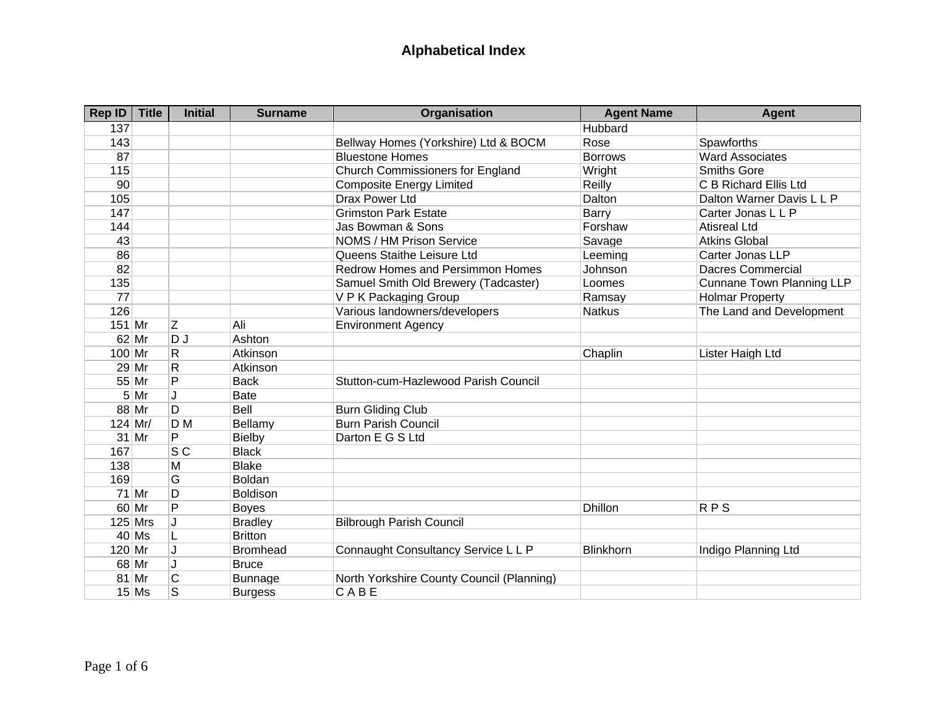| <b>Rep ID</b> | <b>Title</b> | <b>Initial</b> | <b>Surname</b>  | Organisation                              | <b>Agent Name</b> | <b>Agent</b>                     |
|---------------|--------------|----------------|-----------------|-------------------------------------------|-------------------|----------------------------------|
| 137           |              |                |                 |                                           | Hubbard           |                                  |
| 143           |              |                |                 | Bellway Homes (Yorkshire) Ltd & BOCM      | Rose              | Spawforths                       |
| 87            |              |                |                 | <b>Bluestone Homes</b>                    | <b>Borrows</b>    | <b>Ward Associates</b>           |
| 115           |              |                |                 | <b>Church Commissioners for England</b>   | Wright            | <b>Smiths Gore</b>               |
| 90            |              |                |                 | <b>Composite Energy Limited</b>           | Reilly            | C B Richard Ellis Ltd            |
| 105           |              |                |                 | <b>Drax Power Ltd</b>                     | Dalton            | Dalton Warner Davis L L P        |
| 147           |              |                |                 | <b>Grimston Park Estate</b>               | Barry             | Carter Jonas L L P               |
| 144           |              |                |                 | Jas Bowman & Sons                         | Forshaw           | <b>Atisreal Ltd</b>              |
| 43            |              |                |                 | NOMS / HM Prison Service                  | Savage            | <b>Atkins Global</b>             |
| 86            |              |                |                 | Queens Staithe Leisure Ltd                | Leeming           | Carter Jonas LLP                 |
| 82            |              |                |                 | Redrow Homes and Persimmon Homes          | Johnson           | <b>Dacres Commercial</b>         |
| 135           |              |                |                 | Samuel Smith Old Brewery (Tadcaster)      | Loomes            | <b>Cunnane Town Planning LLP</b> |
| 77            |              |                |                 | V P K Packaging Group                     | Ramsay            | <b>Holmar Property</b>           |
| 126           |              |                |                 | Various landowners/developers             | <b>Natkus</b>     | The Land and Development         |
| $151$ Mr      |              | Z              | Ali             | <b>Environment Agency</b>                 |                   |                                  |
|               | $62$ Mr      | D J            | Ashton          |                                           |                   |                                  |
| $100$ Mr      |              | R              | Atkinson        |                                           | Chaplin           | Lister Haigh Ltd                 |
|               | $29$ Mr      | $\mathsf{R}$   | Atkinson        |                                           |                   |                                  |
|               | 55 Mr        | P              | <b>Back</b>     | Stutton-cum-Hazlewood Parish Council      |                   |                                  |
|               | $5$ Mr       | J              | <b>Bate</b>     |                                           |                   |                                  |
|               | $88$ Mr      | D              | Bell            | <b>Burn Gliding Club</b>                  |                   |                                  |
| $124$ Mr/     |              | D <sub>M</sub> | Bellamy         | <b>Burn Parish Council</b>                |                   |                                  |
|               | $31$ Mr      | P              | Bielby          | Darton E G S Ltd                          |                   |                                  |
| 167           |              | S <sub>C</sub> | <b>Black</b>    |                                           |                   |                                  |
| 138           |              | M              | <b>Blake</b>    |                                           |                   |                                  |
| 169           |              | G              | <b>Boldan</b>   |                                           |                   |                                  |
|               | $71$ Mr      | D              | Boldison        |                                           |                   |                                  |
|               | 60 Mr        | P              | <b>Boyes</b>    |                                           | <b>Dhillon</b>    | <b>RPS</b>                       |
|               | $125$ Mrs    | J              | <b>Bradley</b>  | <b>Bilbrough Parish Council</b>           |                   |                                  |
|               | $40$ Ms      |                | <b>Britton</b>  |                                           |                   |                                  |
| $120$ Mr      |              | J              | <b>Bromhead</b> | Connaught Consultancy Service L L P       | <b>Blinkhorn</b>  | Indigo Planning Ltd              |
|               | 68 Mr        | J              | <b>Bruce</b>    |                                           |                   |                                  |
|               | 81 Mr        | C              | <b>Bunnage</b>  | North Yorkshire County Council (Planning) |                   |                                  |
|               | $15$ Ms      | S              | <b>Burgess</b>  | CABE                                      |                   |                                  |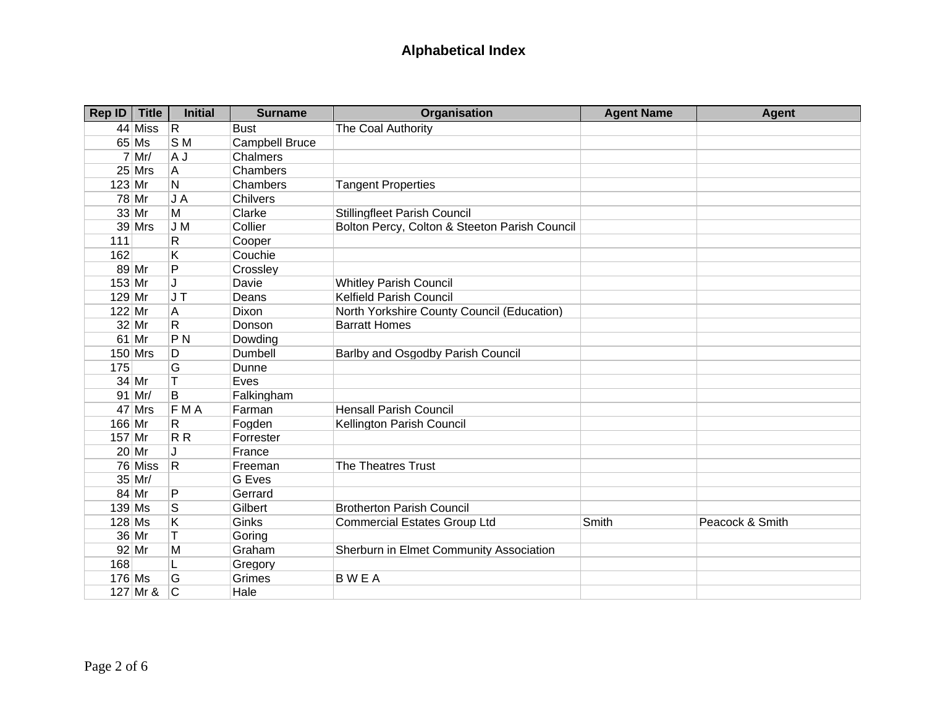| <b>Rep ID</b> | <b>Title</b> | <b>Initial</b> | <b>Surname</b> | Organisation                                  | <b>Agent Name</b> | <b>Agent</b>    |
|---------------|--------------|----------------|----------------|-----------------------------------------------|-------------------|-----------------|
|               | 44 Miss      | $\mathsf{R}$   | <b>Bust</b>    | The Coal Authority                            |                   |                 |
|               | $65$ Ms      | SM             | Campbell Bruce |                                               |                   |                 |
|               | $7$ Mr/      | A J            | Chalmers       |                                               |                   |                 |
|               | $25$ Mrs     | Α              | Chambers       |                                               |                   |                 |
| $123$ Mr      |              | N              | Chambers       | <b>Tangent Properties</b>                     |                   |                 |
|               | 78 Mr        | JA             | Chilvers       |                                               |                   |                 |
|               | 33 Mr        | M              | Clarke         | <b>Stillingfleet Parish Council</b>           |                   |                 |
|               | $39$ Mrs     | J M            | Collier        | Bolton Percy, Colton & Steeton Parish Council |                   |                 |
| 111           |              | R              | Cooper         |                                               |                   |                 |
| 162           |              | Κ              | Couchie        |                                               |                   |                 |
|               | $89$ Mr      | P              | Crossley       |                                               |                   |                 |
| $153$ Mr      |              | J              | Davie          | <b>Whitley Parish Council</b>                 |                   |                 |
| $129$ Mr      |              | JT             | Deans          | Kelfield Parish Council                       |                   |                 |
| $122$ Mr      |              | A              | Dixon          | North Yorkshire County Council (Education)    |                   |                 |
|               | $32$ Mr      | $\mathsf{R}$   | Donson         | <b>Barratt Homes</b>                          |                   |                 |
|               | $61$ Mr      | <b>PN</b>      | Dowding        |                                               |                   |                 |
|               | $150$ Mrs    | D              | Dumbell        | Barlby and Osgodby Parish Council             |                   |                 |
| 175           |              | G              | Dunne          |                                               |                   |                 |
|               | $34$ Mr      | Τ              | Eves           |                                               |                   |                 |
|               | $91$ Mr/     | B              | Falkingham     |                                               |                   |                 |
|               | $47$ Mrs     | FMA            | Farman         | <b>Hensall Parish Council</b>                 |                   |                 |
| 166 Mr        |              | R              | Fogden         | Kellington Parish Council                     |                   |                 |
| $157$ Mr      |              | R <sub>R</sub> | Forrester      |                                               |                   |                 |
|               | $20$ Mr      | J              | France         |                                               |                   |                 |
|               | 76 Miss      | R              | Freeman        | <b>The Theatres Trust</b>                     |                   |                 |
|               | 35 Mr/       |                | G Eves         |                                               |                   |                 |
|               | 84 Mr        | P              | Gerrard        |                                               |                   |                 |
|               | $139$ Ms     | S              | Gilbert        | <b>Brotherton Parish Council</b>              |                   |                 |
|               | $128$ Ms     | Κ              | Ginks          | <b>Commercial Estates Group Ltd</b>           | Smith             | Peacock & Smith |
|               | $36$ Mr      | T              | Goring         |                                               |                   |                 |
|               | $92$ Mr      | M              | Graham         | Sherburn in Elmet Community Association       |                   |                 |
| 168           |              | L              | Gregory        |                                               |                   |                 |
| $176$ Ms      |              | G              | Grimes         | <b>BWEA</b>                                   |                   |                 |
|               | 127 Mr &     | C              | Hale           |                                               |                   |                 |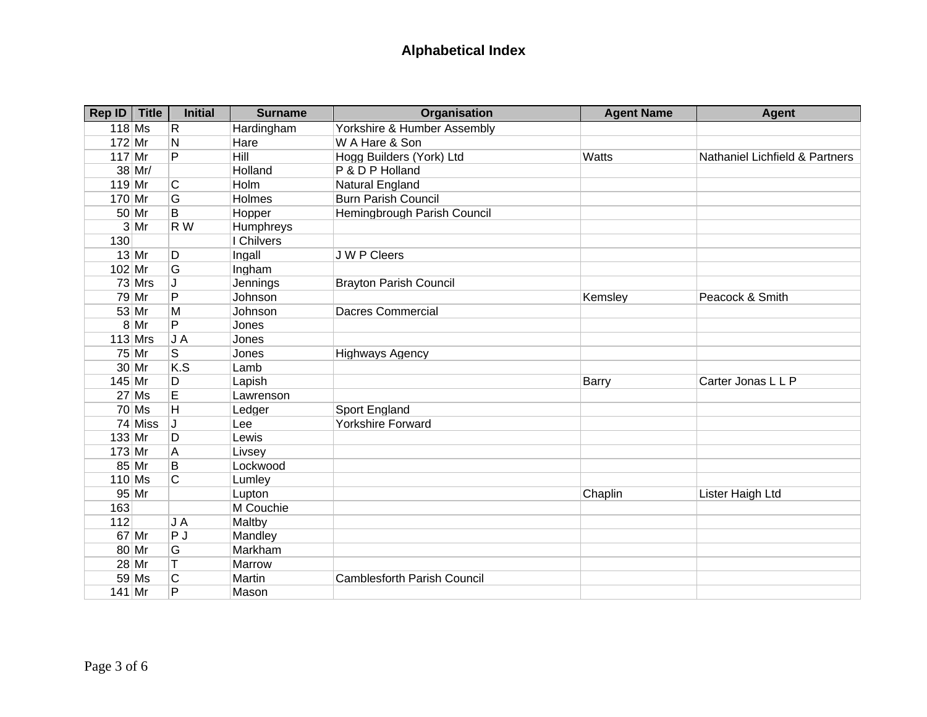| <b>Rep ID</b> | <b>Title</b> | <b>Initial</b> | <b>Surname</b> | Organisation                       | <b>Agent Name</b> | <b>Agent</b>                   |
|---------------|--------------|----------------|----------------|------------------------------------|-------------------|--------------------------------|
| $118$ Ms      |              | $\mathsf{R}$   | Hardingham     | Yorkshire & Humber Assembly        |                   |                                |
| $172$ Mr      |              | N              | Hare           | W A Hare & Son                     |                   |                                |
| $117$ Mr      |              | P              | Hill           | Hogg Builders (York) Ltd           | <b>Watts</b>      | Nathaniel Lichfield & Partners |
|               | 38 Mr/       |                | Holland        | P & D P Holland                    |                   |                                |
| $119$ Mr      |              | C              | Holm           | Natural England                    |                   |                                |
| $170$ Mr      |              | G              | Holmes         | <b>Burn Parish Council</b>         |                   |                                |
|               | $50$ Mr      | B              | Hopper         | Hemingbrough Parish Council        |                   |                                |
|               | $3$ Mr       | R W            | Humphreys      |                                    |                   |                                |
| 130           |              |                | I Chilvers     |                                    |                   |                                |
|               | $13$ Mr      | D              | Ingall         | J W P Cleers                       |                   |                                |
| $102$ Mr      |              | G              | Ingham         |                                    |                   |                                |
|               | $73$ Mrs     | J              | Jennings       | <b>Brayton Parish Council</b>      |                   |                                |
|               | 79 Mr        | P              | Johnson        |                                    | Kemsley           | Peacock & Smith                |
|               | 53 Mr        | M              | Johnson        | <b>Dacres Commercial</b>           |                   |                                |
|               | $8 \,$ Mr    | $\mathsf P$    | Jones          |                                    |                   |                                |
|               | $113$ Mrs    | JA             | Jones          |                                    |                   |                                |
|               | 75 Mr        | S              | Jones          | <b>Highways Agency</b>             |                   |                                |
|               | $30$ Mr      | K.S            | Lamb           |                                    |                   |                                |
| 145 Mr        |              | D              | Lapish         |                                    | <b>Barry</b>      | Carter Jonas L L P             |
|               | $27$ Ms      | E              | Lawrenson      |                                    |                   |                                |
|               | $70$ Ms      | H              | Ledger         | Sport England                      |                   |                                |
|               | $74$ Miss    | J              | Lee            | <b>Yorkshire Forward</b>           |                   |                                |
| $133$ Mr      |              | D              | Lewis          |                                    |                   |                                |
| $173$ Mr      |              | A              | Livsey         |                                    |                   |                                |
|               | $85$ Mr      | B              | Lockwood       |                                    |                   |                                |
| $110$ Ms      |              | $\mathsf{C}$   | Lumley         |                                    |                   |                                |
|               | $95$ Mr      |                | Lupton         |                                    | Chaplin           | Lister Haigh Ltd               |
| 163           |              |                | M Couchie      |                                    |                   |                                |
| 112           |              | JA             | Maltby         |                                    |                   |                                |
|               | $67$ Mr      | P              | Mandley        |                                    |                   |                                |
|               | $80$ Mr      | G              | Markham        |                                    |                   |                                |
|               | 28 Mr        | T              | Marrow         |                                    |                   |                                |
|               | $59$ Ms      | C              | Martin         | <b>Camblesforth Parish Council</b> |                   |                                |
| $141$ Mr      |              | P              | Mason          |                                    |                   |                                |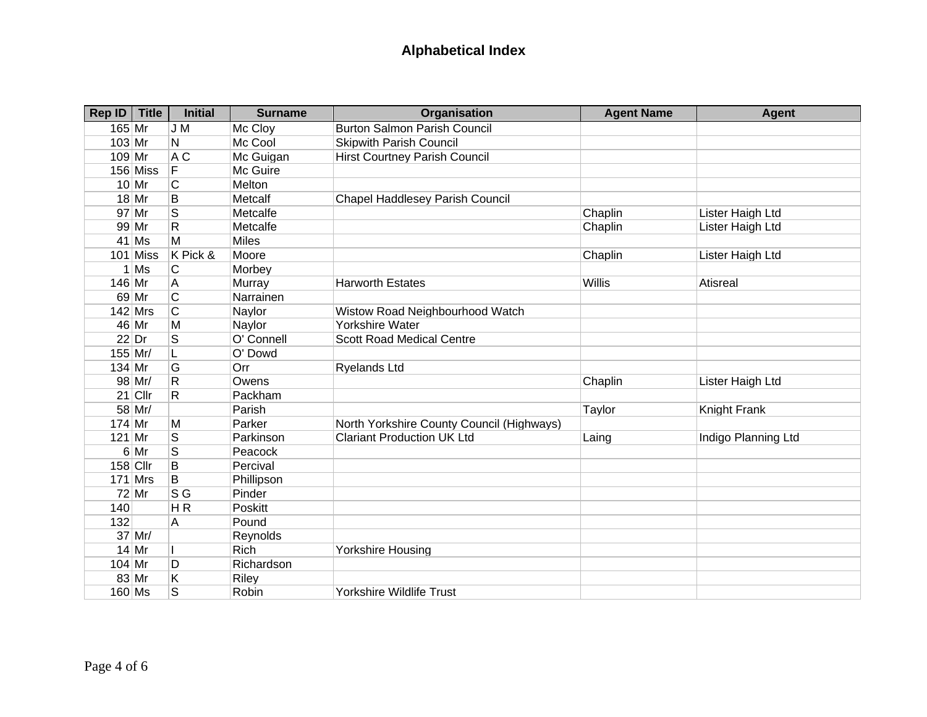| <b>Rep ID</b> | <b>Title</b> | <b>Initial</b> | <b>Surname</b> | Organisation                              | <b>Agent Name</b> | <b>Agent</b>        |
|---------------|--------------|----------------|----------------|-------------------------------------------|-------------------|---------------------|
| 165 Mr        |              | J M            | Mc Cloy        | <b>Burton Salmon Parish Council</b>       |                   |                     |
| $103$ Mr      |              | Ν              | Mc Cool        | <b>Skipwith Parish Council</b>            |                   |                     |
| $109$ Mr      |              | AC             | Mc Guigan      | <b>Hirst Courtney Parish Council</b>      |                   |                     |
|               | $156$ Miss   | F              | Mc Guire       |                                           |                   |                     |
|               | $10$ Mr      | C              | Melton         |                                           |                   |                     |
|               | $18$ Mr      | B              | Metcalf        | <b>Chapel Haddlesey Parish Council</b>    |                   |                     |
|               | $97$ Mr      | S              | Metcalfe       |                                           | Chaplin           | Lister Haigh Ltd    |
|               | $99$ Mr      | R              | Metcalfe       |                                           | Chaplin           | Lister Haigh Ltd    |
|               | $41$ Ms      | M              | <b>Miles</b>   |                                           |                   |                     |
|               | $101$ Miss   | K Pick &       | Moore          |                                           | Chaplin           | Lister Haigh Ltd    |
|               | $1$ Ms       | С              | Morbey         |                                           |                   |                     |
| $146$ Mr      |              | Α              | Murray         | <b>Harworth Estates</b>                   | <b>Willis</b>     | Atisreal            |
|               | 69 Mr        | Ċ              | Narrainen      |                                           |                   |                     |
|               | $142$ Mrs    | Ć              | Naylor         | Wistow Road Neighbourhood Watch           |                   |                     |
|               | 46 Mr        | M              | Naylor         | Yorkshire Water                           |                   |                     |
|               | $22$ Dr      | S              | O' Connell     | <b>Scott Road Medical Centre</b>          |                   |                     |
| 155 Mr/       |              | L              | O' Dowd        |                                           |                   |                     |
| $134$ Mr      |              | G              | Orr            | <b>Ryelands Ltd</b>                       |                   |                     |
|               | 98 Mr/       | R              | Owens          |                                           | Chaplin           | Lister Haigh Ltd    |
|               | $21$ Cllr    | R              | Packham        |                                           |                   |                     |
|               | 58 Mr/       |                | Parish         |                                           | Taylor            | Knight Frank        |
| $174$ Mr      |              | M              | Parker         | North Yorkshire County Council (Highways) |                   |                     |
| $121$ Mr      |              | S              | Parkinson      | <b>Clariant Production UK Ltd</b>         | Laing             | Indigo Planning Ltd |
|               | $6$ Mr       | S              | Peacock        |                                           |                   |                     |
|               | $158$ Cllr   | B              | Percival       |                                           |                   |                     |
|               | $171$ Mrs    | B              | Phillipson     |                                           |                   |                     |
|               | $72$ Mr      | S G            | Pinder         |                                           |                   |                     |
| 140           |              | HR             | Poskitt        |                                           |                   |                     |
| 132           |              | Α              | Pound          |                                           |                   |                     |
|               | $37$ Mr/     |                | Reynolds       |                                           |                   |                     |
|               | $14$ Mr      |                | <b>Rich</b>    | Yorkshire Housing                         |                   |                     |
| $104$ Mr      |              | D              | Richardson     |                                           |                   |                     |
|               | $83$ Mr      | Κ              | Riley          |                                           |                   |                     |
| $160$ Ms      |              | S              | Robin          | <b>Yorkshire Wildlife Trust</b>           |                   |                     |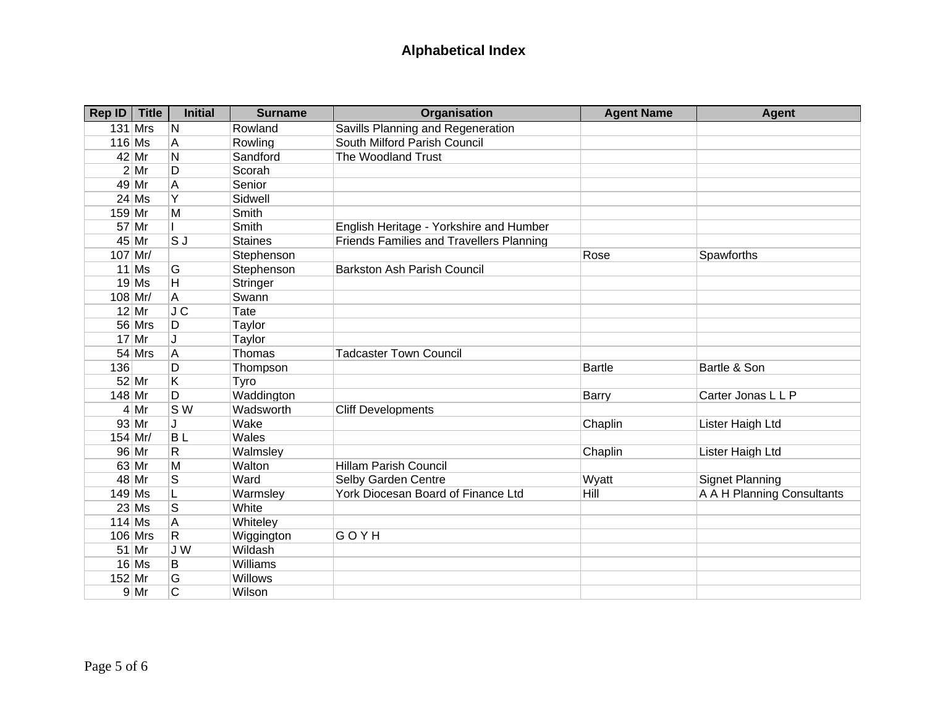| <b>Rep ID</b> | <b>Title</b> | <b>Initial</b> | <b>Surname</b> | Organisation                                    | <b>Agent Name</b> | <b>Agent</b>               |
|---------------|--------------|----------------|----------------|-------------------------------------------------|-------------------|----------------------------|
|               | $131$ Mrs    | N              | Rowland        | Savills Planning and Regeneration               |                   |                            |
| $116$ Ms      |              | A              | Rowling        | South Milford Parish Council                    |                   |                            |
|               | $42$ Mr      | N              | Sandford       | The Woodland Trust                              |                   |                            |
|               | $2$ Mr       | D              | Scorah         |                                                 |                   |                            |
|               | 49 Mr        | A              | Senior         |                                                 |                   |                            |
|               | $24$ Ms      | Y              | Sidwell        |                                                 |                   |                            |
| 159 Mr        |              | M              | Smith          |                                                 |                   |                            |
|               | 57 Mr        |                | Smith          | English Heritage - Yorkshire and Humber         |                   |                            |
|               | 45 Mr        | S J            | <b>Staines</b> | <b>Friends Families and Travellers Planning</b> |                   |                            |
| $107$ Mr/     |              |                | Stephenson     |                                                 | Rose              | Spawforths                 |
|               | $11$ Ms      | G              | Stephenson     | <b>Barkston Ash Parish Council</b>              |                   |                            |
|               | $19$ Ms      | H              | Stringer       |                                                 |                   |                            |
| 108 Mr/       |              | A              | Swann          |                                                 |                   |                            |
|               | $12$ Mr      | J C            | <b>Tate</b>    |                                                 |                   |                            |
|               | $56$ Mrs     | D              | Taylor         |                                                 |                   |                            |
|               | $17$ Mr      | J              | Taylor         |                                                 |                   |                            |
|               | $54$ Mrs     | A              | <b>Thomas</b>  | <b>Tadcaster Town Council</b>                   |                   |                            |
| 136           |              | D              | Thompson       |                                                 | <b>Bartle</b>     | Bartle & Son               |
|               | $52$ Mr      | Κ              | Tyro           |                                                 |                   |                            |
| $148$ Mr      |              | D              | Waddington     |                                                 | <b>Barry</b>      | Carter Jonas L L P         |
|               | $4$ Mr       | <b>SW</b>      | Wadsworth      | <b>Cliff Developments</b>                       |                   |                            |
|               | 93 Mr        | J              | Wake           |                                                 | Chaplin           | Lister Haigh Ltd           |
| 154 Mr/       |              | <b>BL</b>      | Wales          |                                                 |                   |                            |
|               | 96 Mr        | R              | Walmsley       |                                                 | Chaplin           | Lister Haigh Ltd           |
|               | 63 Mr        | M              | Walton         | <b>Hillam Parish Council</b>                    |                   |                            |
|               | 48 Mr        | S              | Ward           | Selby Garden Centre                             | Wyatt             | <b>Signet Planning</b>     |
| $149$ Ms      |              |                | Warmsley       | York Diocesan Board of Finance Ltd              | Hill              | A A H Planning Consultants |
|               | $23$ Ms      | S              | White          |                                                 |                   |                            |
| $114$ Ms      |              | A              | Whiteley       |                                                 |                   |                            |
|               | $106$ Mrs    | $\mathsf{R}$   | Wiggington     | GOYH                                            |                   |                            |
|               | $51$ Mr      | J W            | Wildash        |                                                 |                   |                            |
|               | $16$ Ms      | B              | Williams       |                                                 |                   |                            |
| $152$ Mr      |              | G              | <b>Willows</b> |                                                 |                   |                            |
|               | $9$ Mr       | C              | Wilson         |                                                 |                   |                            |